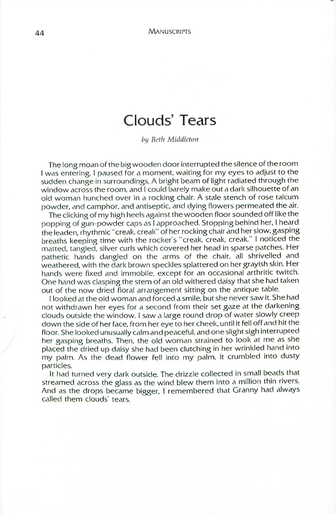## **Clouds' Tears**

*by* Beth Middleton

The long moan of the bigwooden door interrupted the silence of the room I was entering. I paused for a moment, waiting for my eyes to adjust to the sudden change in surroundings. A bright beam of light radiated through the window across the room, and I could barely make out a dark silhouette of an old woman hunched over in a rocking chair. A stale stench of rose talcum powder, and camphor, and antiseptic, and dying flowers permeated the air.

The clicking of my high heels against the wooden floor sounded off like the popping of gun-powder caps as I approached. Stopping behind her, I heard the leaden, rhythmic" creak, creak" of her rocking chair and her slow, gasping breaths keeping time with the rocker's "creak, creak, creak." I noticed the matted, tangled, silver curls which covered her head in sparse patches. Her pathetic hands dangled on the arms of the chair, all shrivelled and weathered, with the dark brown speckles splattered on her grayish skin. Her hands were fixed and immobile, except for an occasional arthritic twitch. One hand was clasping the stem of an old withered daisy that she had taken out of the now dried floral arrangement sitting on the antique table.

I looked at the old woman and forced a smile, but she never saw it. She had not withdrawn her eyes for a second from their set gaze at the darkening clouds outside the window. I saw a large round drop of water slowly creep down the side of her face, from her eye to her cheek, until it fell off and hit the floor. She looked unusually calm and peaceful, and one slight sigh interrupted her gasping breaths. Then, the old woman strained to look at me as she placed the dried up daisy she had been clutching in her wrinkled hand into my palm. As the dead flower fell into my palm, it crumbled into dusty particles.

It had turned very dark outside. The drizzle collected in small beads that streamed across the glass as the wind blew them into a million thin rivers. And as the drops became bigger, I remembered that Granny had always called them clouds' tears.